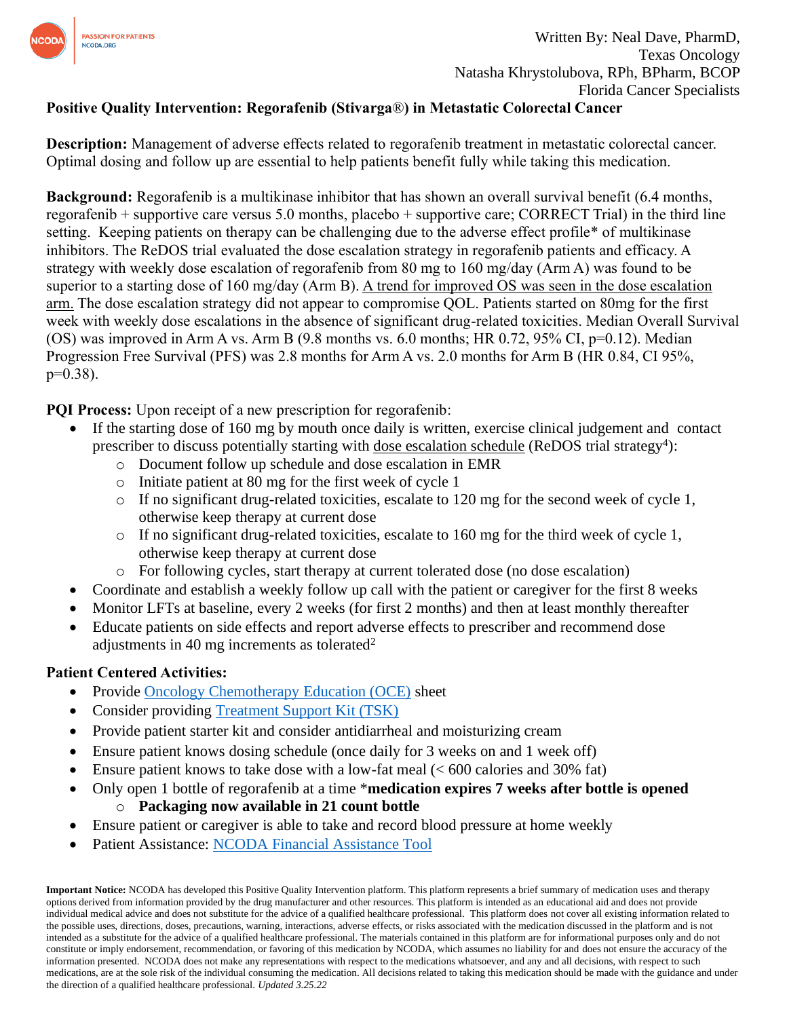

## **Positive Quality Intervention: Regorafenib (Stivarga**®**) in Metastatic Colorectal Cancer**

**Description:** Management of adverse effects related to regorafenib treatment in metastatic colorectal cancer. Optimal dosing and follow up are essential to help patients benefit fully while taking this medication.

**Background:** Regorafenib is a multikinase inhibitor that has shown an overall survival benefit (6.4 months, regorafenib + supportive care versus 5.0 months, placebo + supportive care; CORRECT Trial) in the third line setting. Keeping patients on therapy can be challenging due to the adverse effect profile\* of multikinase inhibitors. The ReDOS trial evaluated the dose escalation strategy in regorafenib patients and efficacy. A strategy with weekly dose escalation of regorafenib from 80 mg to 160 mg/day (Arm A) was found to be superior to a starting dose of 160 mg/day (Arm B). A trend for improved OS was seen in the dose escalation arm. The dose escalation strategy did not appear to compromise QOL. Patients started on 80mg for the first week with weekly dose escalations in the absence of significant drug-related toxicities. Median Overall Survival (OS) was improved in Arm A vs. Arm B (9.8 months vs. 6.0 months; HR 0.72, 95% CI, p=0.12). Median Progression Free Survival (PFS) was 2.8 months for Arm A vs. 2.0 months for Arm B (HR 0.84, CI 95%, p=0.38).

**PQI Process:** Upon receipt of a new prescription for regorafenib:

- If the starting dose of 160 mg by mouth once daily is written, exercise clinical judgement and contact prescriber to discuss potentially starting with dose escalation schedule (ReDOS trial strategy<sup>4</sup>):
	- o Document follow up schedule and dose escalation in EMR
	- o Initiate patient at 80 mg for the first week of cycle 1
	- o If no significant drug-related toxicities, escalate to 120 mg for the second week of cycle 1, otherwise keep therapy at current dose
	- o If no significant drug-related toxicities, escalate to 160 mg for the third week of cycle 1, otherwise keep therapy at current dose
	- o For following cycles, start therapy at current tolerated dose (no dose escalation)
- Coordinate and establish a weekly follow up call with the patient or caregiver for the first 8 weeks
- Monitor LFTs at baseline, every 2 weeks (for first 2 months) and then at least monthly thereafter
- Educate patients on side effects and report adverse effects to prescriber and recommend dose adjustments in 40 mg increments as tolerated<sup>2</sup>

## **Patient Centered Activities:**

- Provide [Oncology Chemotherapy Education \(OCE\)](https://www.oralchemoedsheets.com/index.php/sheet-library/19-coming-soon/generic/94-regorafenib) sheet
- Consider providing [Treatment Support Kit \(TSK\)](https://www.surveymonkey.com/r/RM2RSP9)
- Provide patient starter kit and consider antidiarrheal and moisturizing cream
- Ensure patient knows dosing schedule (once daily for 3 weeks on and 1 week off)
- Ensure patient knows to take dose with a low-fat meal  $(< 600$  calories and 30% fat)
- Only open 1 bottle of regorafenib at a time \***medication expires 7 weeks after bottle is opened** o **Packaging now available in 21 count bottle**
- Ensure patient or caregiver is able to take and record blood pressure at home weekly
- Patient Assistance: [NCODA Financial Assistance Tool](https://www.ncoda.org/financial-assistance/)

**Important Notice:** NCODA has developed this Positive Quality Intervention platform. This platform represents a brief summary of medication uses and therapy options derived from information provided by the drug manufacturer and other resources. This platform is intended as an educational aid and does not provide individual medical advice and does not substitute for the advice of a qualified healthcare professional. This platform does not cover all existing information related to the possible uses, directions, doses, precautions, warning, interactions, adverse effects, or risks associated with the medication discussed in the platform and is not intended as a substitute for the advice of a qualified healthcare professional. The materials contained in this platform are for informational purposes only and do not constitute or imply endorsement, recommendation, or favoring of this medication by NCODA, which assumes no liability for and does not ensure the accuracy of the information presented. NCODA does not make any representations with respect to the medications whatsoever, and any and all decisions, with respect to such medications, are at the sole risk of the individual consuming the medication. All decisions related to taking this medication should be made with the guidance and under the direction of a qualified healthcare professional. *Updated 3.25.22*